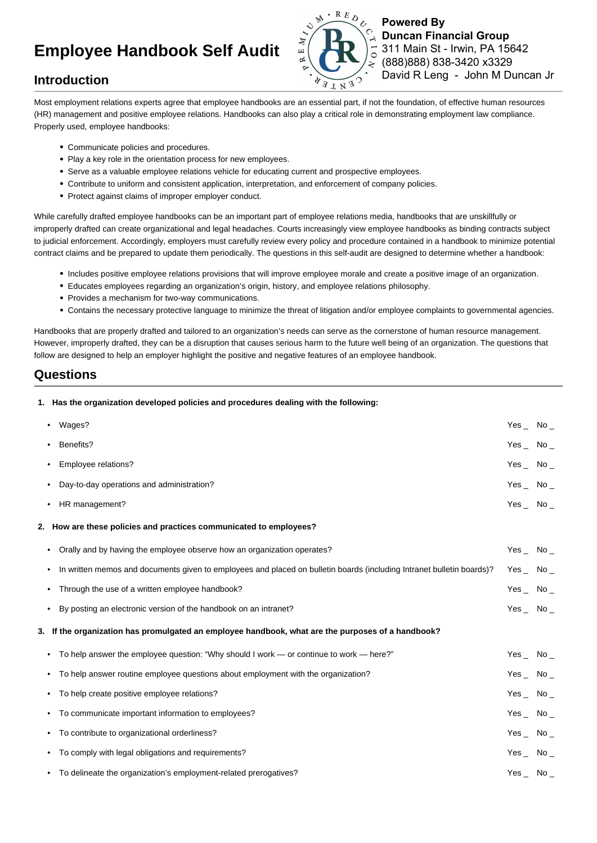# **Employee Handbook Self Audit**



**Powered By Duncan Financial Group** 311 Main St - Irwin, PA 15642 (888)888) 838-3420 x3329 David R Leng - John M Duncan Jr

## **Introduction**

Most employment relations experts agree that employee handbooks are an essential part, if not the foundation, of effective human resources (HR) management and positive employee relations. Handbooks can also play a critical role in demonstrating employment law compliance. Properly used, employee handbooks:

- Communicate policies and procedures.
- Play a key role in the orientation process for new employees.
- Serve as a valuable employee relations vehicle for educating current and prospective employees.
- Contribute to uniform and consistent application, interpretation, and enforcement of company policies.
- Protect against claims of improper employer conduct.

While carefully drafted employee handbooks can be an important part of employee relations media, handbooks that are unskillfully or improperly drafted can create organizational and legal headaches. Courts increasingly view employee handbooks as binding contracts subject to judicial enforcement. Accordingly, employers must carefully review every policy and procedure contained in a handbook to minimize potential contract claims and be prepared to update them periodically. The questions in this self-audit are designed to determine whether a handbook:

- Includes positive employee relations provisions that will improve employee morale and create a positive image of an organization.
- Educates employees regarding an organization's origin, history, and employee relations philosophy.
- Provides a mechanism for two-way communications.
- Contains the necessary protective language to minimize the threat of litigation and/or employee complaints to governmental agencies.

Handbooks that are properly drafted and tailored to an organization's needs can serve as the cornerstone of human resource management. However, improperly drafted, they can be a disruption that causes serious harm to the future well being of an organization. The questions that follow are designed to help an employer highlight the positive and negative features of an employee handbook.

### **Questions**

**1. Has the organization developed policies and procedures dealing with the following:**

|                                                                    | Wages?                                                                                                                             | Yes $\sim$ No $\sim$ |  |
|--------------------------------------------------------------------|------------------------------------------------------------------------------------------------------------------------------------|----------------------|--|
|                                                                    | Benefits?<br>$\bullet$                                                                                                             | Yes $\sim$ No $\sim$ |  |
|                                                                    | Employee relations?<br>$\bullet$                                                                                                   | Yes $\_$ No $\_$     |  |
|                                                                    | Day-to-day operations and administration?                                                                                          | Yes $\sim$ No $\sim$ |  |
|                                                                    | HR management?<br>$\bullet$                                                                                                        | Yes $\sim$ No $\sim$ |  |
| 2. How are these policies and practices communicated to employees? |                                                                                                                                    |                      |  |
|                                                                    | • Orally and by having the employee observe how an organization operates?                                                          | Yes $\_$ No $\_$     |  |
|                                                                    | In written memos and documents given to employees and placed on bulletin boards (including Intranet bulletin boards)?<br>$\bullet$ | Yes $\sim$ No $\sim$ |  |
|                                                                    | Through the use of a written employee handbook?<br>$\bullet$                                                                       | $Yes_$ No $_$        |  |
|                                                                    | By posting an electronic version of the handbook on an intranet?<br>$\bullet$                                                      | Yes $\sim$ No $\sim$ |  |
|                                                                    | 3. If the organization has promulgated an employee handbook, what are the purposes of a handbook?                                  |                      |  |
|                                                                    | • To help answer the employee question: "Why should I work — or continue to work — here?"                                          | Yes $\_$ No $\_$     |  |
|                                                                    | To help answer routine employee questions about employment with the organization?<br>$\bullet$                                     | Yes $\_$ No $\_$     |  |
|                                                                    | To help create positive employee relations?<br>$\bullet$                                                                           | Yes $\sim$ No $\sim$ |  |
|                                                                    | • To communicate important information to employees?                                                                               | Yes $\sim$ No $\sim$ |  |
|                                                                    | • To contribute to organizational orderliness?                                                                                     | Yes $\_$ No $\_$     |  |
|                                                                    | • To comply with legal obligations and requirements?                                                                               | Yes $\sim$ No $\sim$ |  |
|                                                                    | • To delineate the organization's employment-related prerogatives?                                                                 | $Yes$ No $\_$        |  |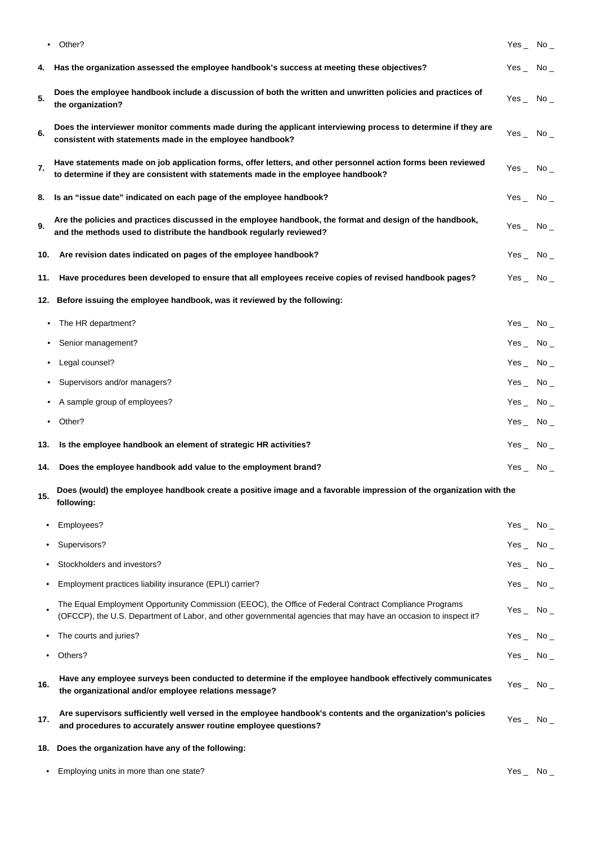|           | Other?                                                                                                                                                                                                                    | Yes $\sim$ No $\sim$ |       |
|-----------|---------------------------------------------------------------------------------------------------------------------------------------------------------------------------------------------------------------------------|----------------------|-------|
| 4.        | Has the organization assessed the employee handbook's success at meeting these objectives?                                                                                                                                | $Yes$ No $\_$        |       |
| 5.        | Does the employee handbook include a discussion of both the written and unwritten policies and practices of<br>the organization?                                                                                          | $Yes$ No $\_$        |       |
| 6.        | Does the interviewer monitor comments made during the applicant interviewing process to determine if they are<br>consistent with statements made in the employee handbook?                                                | Yes $\_$ No $\_$     |       |
| 7.        | Have statements made on job application forms, offer letters, and other personnel action forms been reviewed<br>to determine if they are consistent with statements made in the employee handbook?                        | Yes $\_$ No $\_$     |       |
| 8.        | Is an "issue date" indicated on each page of the employee handbook?                                                                                                                                                       | $Yes$ No $\_$        |       |
| 9.        | Are the policies and practices discussed in the employee handbook, the format and design of the handbook,<br>and the methods used to distribute the handbook regularly reviewed?                                          | Yes $\_$ No $\_$     |       |
| 10.       | Are revision dates indicated on pages of the employee handbook?                                                                                                                                                           | $Yes_$ No $_$        |       |
| 11.       | Have procedures been developed to ensure that all employees receive copies of revised handbook pages?                                                                                                                     | Yes $\sim$ No $\sim$ |       |
| 12.       | Before issuing the employee handbook, was it reviewed by the following:                                                                                                                                                   |                      |       |
| ٠         | The HR department?                                                                                                                                                                                                        | Yes $\_$ No $\_$     |       |
|           | Senior management?                                                                                                                                                                                                        | Yes $\_$ No $\_$     |       |
|           | Legal counsel?                                                                                                                                                                                                            | Yes $\_$ No $\_$     |       |
| ٠         | Supervisors and/or managers?                                                                                                                                                                                              | Yes $\_$ No $\_$     |       |
|           | A sample group of employees?                                                                                                                                                                                              | Yes $\_$ No $\_$     |       |
| ٠         | Other?                                                                                                                                                                                                                    | Yes $\_$ No $\_$     |       |
| 13.       | Is the employee handbook an element of strategic HR activities?                                                                                                                                                           | Yes No               |       |
| 14.       | Does the employee handbook add value to the employment brand?                                                                                                                                                             | Yes $\_$ No $\_$     |       |
| 15.       | Does (would) the employee handbook create a positive image and a favorable impression of the organization with the<br>following:                                                                                          |                      |       |
| ٠         | Employees?                                                                                                                                                                                                                | $Yes_{-}$ No $_{-}$  |       |
|           | Supervisors?                                                                                                                                                                                                              | Yes $_{-}$           | $No-$ |
|           | Stockholders and investors?                                                                                                                                                                                               | Yes $\_$ No $\_$     |       |
| ٠         | Employment practices liability insurance (EPLI) carrier?                                                                                                                                                                  | $Yes_$ No $_$        |       |
|           | The Equal Employment Opportunity Commission (EEOC), the Office of Federal Contract Compliance Programs<br>(OFCCP), the U.S. Department of Labor, and other governmental agencies that may have an occasion to inspect it? | $Yes_$ No $_$        |       |
|           | The courts and juries?                                                                                                                                                                                                    | Yes $\_$ No $\_$     |       |
| $\bullet$ | Others?                                                                                                                                                                                                                   | Yes $\_$ No $\_$     |       |
| 16.       | Have any employee surveys been conducted to determine if the employee handbook effectively communicates<br>the organizational and/or employee relations message?                                                          | Yes $\_$ No $\_$     |       |

| Are supervisors sufficiently well versed in the employee handbook's contents and the organization's policies | Yes | No. |
|--------------------------------------------------------------------------------------------------------------|-----|-----|
| and procedures to accurately answer routine employee questions?                                              |     |     |

- **18. Does the organization have any of the following:**
	- Employing units in more than one state? The state of the state of the state of the state of the state of the state of the state of the state of the state of the state of the state of the state of the state of the state o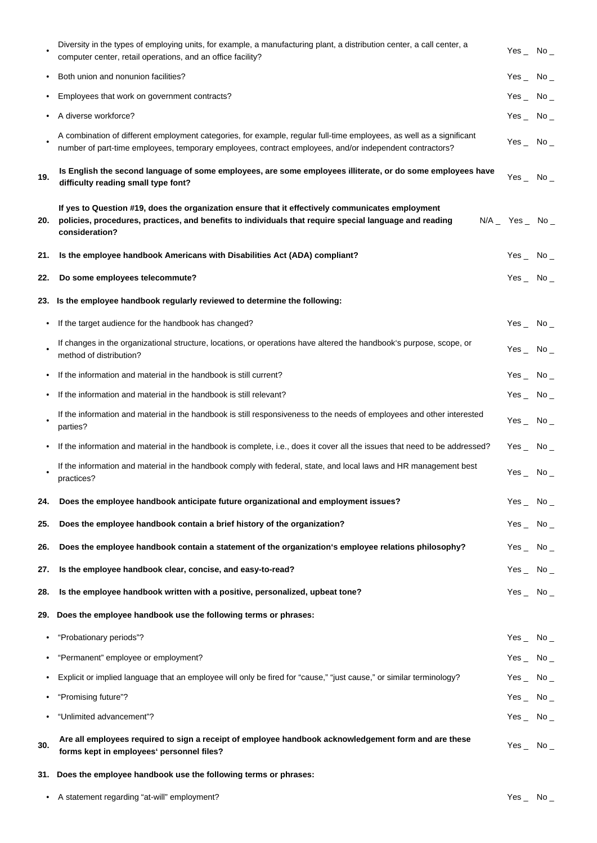|           | Diversity in the types of employing units, for example, a manufacturing plant, a distribution center, a call center, a<br>computer center, retail operations, and an office facility?                                           | Yes $\_$ No $\_$    |       |
|-----------|---------------------------------------------------------------------------------------------------------------------------------------------------------------------------------------------------------------------------------|---------------------|-------|
|           | Both union and nonunion facilities?                                                                                                                                                                                             | Yes $_{-}$          | $No-$ |
|           | Employees that work on government contracts?                                                                                                                                                                                    | Yes $\_$            | $No-$ |
|           | A diverse workforce?                                                                                                                                                                                                            | Yes $_{-}$          | $No-$ |
|           | A combination of different employment categories, for example, regular full-time employees, as well as a significant<br>number of part-time employees, temporary employees, contract employees, and/or independent contractors? | $Yes_$ No $_$       |       |
| 19.       | Is English the second language of some employees, are some employees illiterate, or do some employees have<br>difficulty reading small type font?                                                                               | $Yes$ No $\_$       |       |
| 20.       | If yes to Question #19, does the organization ensure that it effectively communicates employment<br>policies, procedures, practices, and benefits to individuals that require special language and reading<br>consideration?    | $N/A$ Yes  No       |       |
| 21.       | Is the employee handbook Americans with Disabilities Act (ADA) compliant?                                                                                                                                                       | $Yes$ No $\_$       |       |
| 22.       | Do some employees telecommute?                                                                                                                                                                                                  | Yes $\_$ No $\_$    |       |
|           | 23. Is the employee handbook regularly reviewed to determine the following:                                                                                                                                                     |                     |       |
| $\bullet$ | If the target audience for the handbook has changed?                                                                                                                                                                            | Yes $\_$ No $\_$    |       |
|           | If changes in the organizational structure, locations, or operations have altered the handbook's purpose, scope, or<br>method of distribution?                                                                                  | Yes $\_$ No $\_$    |       |
|           | If the information and material in the handbook is still current?                                                                                                                                                               | Yes $\_$            | $No-$ |
|           | If the information and material in the handbook is still relevant?                                                                                                                                                              | Yes $\_$ No $\_$    |       |
|           | If the information and material in the handbook is still responsiveness to the needs of employees and other interested<br>parties?                                                                                              | Yes $_{-}$          | $No-$ |
|           | If the information and material in the handbook is complete, i.e., does it cover all the issues that need to be addressed?                                                                                                      | Yes $\_$            | $No-$ |
|           | If the information and material in the handbook comply with federal, state, and local laws and HR management best<br>practices?                                                                                                 | Yes $_{-}$          | $No-$ |
| 24.       | Does the employee handbook anticipate future organizational and employment issues?                                                                                                                                              | Yes $\_$ No $\_$    |       |
| 25.       | Does the employee handbook contain a brief history of the organization?                                                                                                                                                         | Yes $_{-}$          | $No-$ |
| 26.       | Does the employee handbook contain a statement of the organization's employee relations philosophy?                                                                                                                             | $Yes_{-}$ No $_{-}$ |       |
| 27.       | Is the employee handbook clear, concise, and easy-to-read?                                                                                                                                                                      | $Yes_{-}$ No $_{-}$ |       |
| 28.       | Is the employee handbook written with a positive, personalized, upbeat tone?                                                                                                                                                    | $Yes_{-}$ No $_{-}$ |       |
| 29.       | Does the employee handbook use the following terms or phrases:                                                                                                                                                                  |                     |       |
| ٠         | "Probationary periods"?                                                                                                                                                                                                         | Yes $_{-}$          | $No-$ |
|           | "Permanent" employee or employment?                                                                                                                                                                                             | Yes $\_$ No $\_$    |       |
| ٠         | Explicit or implied language that an employee will only be fired for "cause," "just cause," or similar terminology?                                                                                                             | $Yes_$ No $_$       |       |
|           | "Promising future"?                                                                                                                                                                                                             | Yes $\_$            | $No-$ |
| ٠         | "Unlimited advancement"?                                                                                                                                                                                                        | Yes $\_$ No $\_$    |       |
| 30.       | Are all employees required to sign a receipt of employee handbook acknowledgement form and are these<br>forms kept in employees' personnel files?                                                                               | Yes $_{-}$          | $No-$ |

**31. Does the employee handbook use the following terms or phrases:**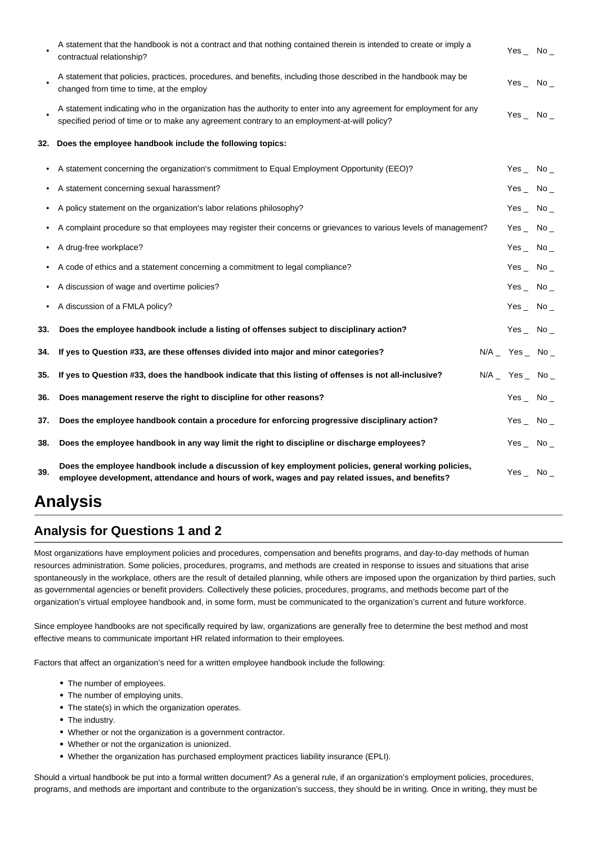|     | A statement that the handbook is not a contract and that nothing contained therein is intended to create or imply a<br>contractual relationship?                                                                   | Yes $\_$ No $\_$     |  |
|-----|--------------------------------------------------------------------------------------------------------------------------------------------------------------------------------------------------------------------|----------------------|--|
|     | A statement that policies, practices, procedures, and benefits, including those described in the handbook may be<br>changed from time to time, at the employ                                                       | Yes $\_$ No $\_$     |  |
|     | A statement indicating who in the organization has the authority to enter into any agreement for employment for any<br>specified period of time or to make any agreement contrary to an employment-at-will policy? | $Yes$ No $\_$        |  |
| 32. | Does the employee handbook include the following topics:                                                                                                                                                           |                      |  |
| ٠   | A statement concerning the organization's commitment to Equal Employment Opportunity (EEO)?                                                                                                                        | Yes $\_$ No $\_$     |  |
|     | A statement concerning sexual harassment?                                                                                                                                                                          | Yes $\sim$ No $\sim$ |  |
| ٠   | A policy statement on the organization's labor relations philosophy?                                                                                                                                               | Yes $\_$ No $\_$     |  |
|     | A complaint procedure so that employees may register their concerns or grievances to various levels of management?                                                                                                 | Yes $\_$ No $\_$     |  |
|     | A drug-free workplace?                                                                                                                                                                                             | Yes $\_$ No $\_$     |  |
|     | A code of ethics and a statement concerning a commitment to legal compliance?                                                                                                                                      | Yes $\_$ No $\_$     |  |
|     | A discussion of wage and overtime policies?                                                                                                                                                                        | Yes $\_$ No $\_$     |  |
|     | A discussion of a FMLA policy?                                                                                                                                                                                     | Yes $\_$ No $\_$     |  |
| 33. | Does the employee handbook include a listing of offenses subject to disciplinary action?                                                                                                                           | Yes $\_$ No $\_$     |  |
| 34. | If yes to Question #33, are these offenses divided into major and minor categories?                                                                                                                                | $N/A$ Yes  No        |  |
| 35. | If yes to Question #33, does the handbook indicate that this listing of offenses is not all-inclusive?                                                                                                             | $N/A$ Yes  No        |  |
| 36. | Does management reserve the right to discipline for other reasons?                                                                                                                                                 | Yes $\_$ No $\_$     |  |
| 37. | Does the employee handbook contain a procedure for enforcing progressive disciplinary action?                                                                                                                      | Yes $\_$ No $\_$     |  |
| 38. | Does the employee handbook in any way limit the right to discipline or discharge employees?                                                                                                                        | Yes No               |  |
| 39. | Does the employee handbook include a discussion of key employment policies, general working policies,<br>employee development, attendance and hours of work, wages and pay related issues, and benefits?           | Yes $\_$ No $\_$     |  |

# **Analysis**

## **Analysis for Questions 1 and 2**

Most organizations have employment policies and procedures, compensation and benefits programs, and day-to-day methods of human resources administration. Some policies, procedures, programs, and methods are created in response to issues and situations that arise spontaneously in the workplace, others are the result of detailed planning, while others are imposed upon the organization by third parties, such as governmental agencies or benefit providers. Collectively these policies, procedures, programs, and methods become part of the organization's virtual employee handbook and, in some form, must be communicated to the organization's current and future workforce.

Since employee handbooks are not specifically required by law, organizations are generally free to determine the best method and most effective means to communicate important HR related information to their employees.

Factors that affect an organization's need for a written employee handbook include the following:

- The number of employees.
- The number of employing units.
- The state(s) in which the organization operates.
- The industry.
- Whether or not the organization is a government contractor.
- Whether or not the organization is unionized.
- Whether the organization has purchased employment practices liability insurance (EPLI).

Should a virtual handbook be put into a formal written document? As a general rule, if an organization's employment policies, procedures, programs, and methods are important and contribute to the organization's success, they should be in writing. Once in writing, they must be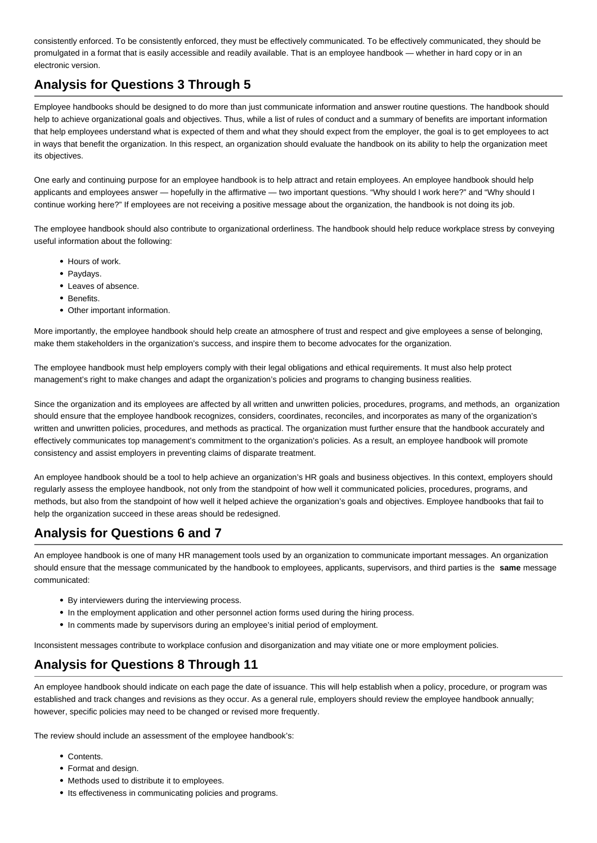consistently enforced. To be consistently enforced, they must be effectively communicated. To be effectively communicated, they should be promulgated in a format that is easily accessible and readily available. That is an employee handbook — whether in hard copy or in an electronic version.

## **Analysis for Questions 3 Through 5**

Employee handbooks should be designed to do more than just communicate information and answer routine questions. The handbook should help to achieve organizational goals and objectives. Thus, while a list of rules of conduct and a summary of benefits are important information that help employees understand what is expected of them and what they should expect from the employer, the goal is to get employees to act in ways that benefit the organization. In this respect, an organization should evaluate the handbook on its ability to help the organization meet its objectives.

One early and continuing purpose for an employee handbook is to help attract and retain employees. An employee handbook should help applicants and employees answer — hopefully in the affirmative — two important questions. "Why should I work here?" and "Why should I continue working here?" If employees are not receiving a positive message about the organization, the handbook is not doing its job.

The employee handbook should also contribute to organizational orderliness. The handbook should help reduce workplace stress by conveying useful information about the following:

- Hours of work.
- Paydays.
- Leaves of absence.
- **•** Benefits
- Other important information.

More importantly, the employee handbook should help create an atmosphere of trust and respect and give employees a sense of belonging, make them stakeholders in the organization's success, and inspire them to become advocates for the organization.

The employee handbook must help employers comply with their legal obligations and ethical requirements. It must also help protect management's right to make changes and adapt the organization's policies and programs to changing business realities.

Since the organization and its employees are affected by all written and unwritten policies, procedures, programs, and methods, an organization should ensure that the employee handbook recognizes, considers, coordinates, reconciles, and incorporates as many of the organization's written and unwritten policies, procedures, and methods as practical. The organization must further ensure that the handbook accurately and effectively communicates top management's commitment to the organization's policies. As a result, an employee handbook will promote consistency and assist employers in preventing claims of disparate treatment.

An employee handbook should be a tool to help achieve an organization's HR goals and business objectives. In this context, employers should regularly assess the employee handbook, not only from the standpoint of how well it communicated policies, procedures, programs, and methods, but also from the standpoint of how well it helped achieve the organization's goals and objectives. Employee handbooks that fail to help the organization succeed in these areas should be redesigned.

## **Analysis for Questions 6 and 7**

An employee handbook is one of many HR management tools used by an organization to communicate important messages. An organization should ensure that the message communicated by the handbook to employees, applicants, supervisors, and third parties is the **same** message communicated:

- By interviewers during the interviewing process.
- In the employment application and other personnel action forms used during the hiring process.
- In comments made by supervisors during an employee's initial period of employment.

Inconsistent messages contribute to workplace confusion and disorganization and may vitiate one or more employment policies.

## **Analysis for Questions 8 Through 11**

An employee handbook should indicate on each page the date of issuance. This will help establish when a policy, procedure, or program was established and track changes and revisions as they occur. As a general rule, employers should review the employee handbook annually; however, specific policies may need to be changed or revised more frequently.

The review should include an assessment of the employee handbook's:

- Contents.
- Format and design.
- Methods used to distribute it to employees.
- Its effectiveness in communicating policies and programs.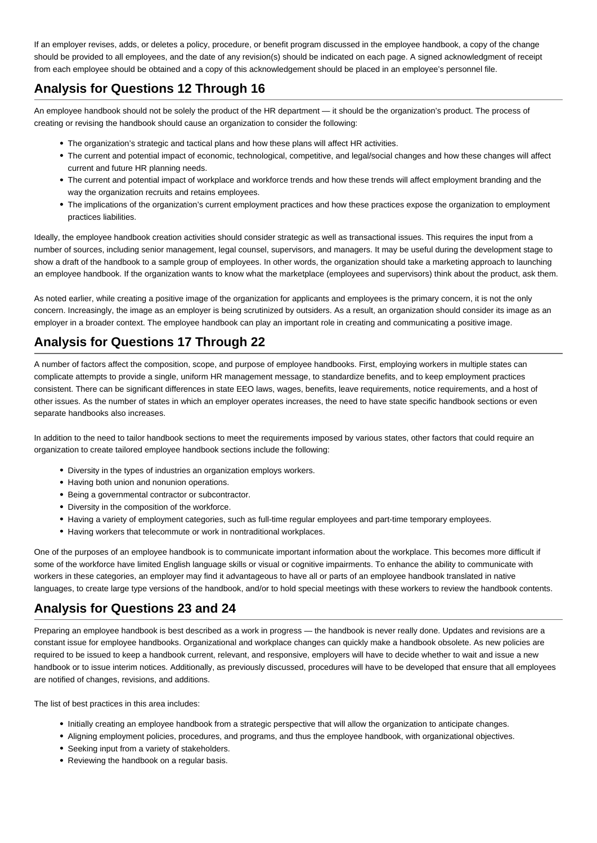If an employer revises, adds, or deletes a policy, procedure, or benefit program discussed in the employee handbook, a copy of the change should be provided to all employees, and the date of any revision(s) should be indicated on each page. A signed acknowledgment of receipt from each employee should be obtained and a copy of this acknowledgement should be placed in an employee's personnel file.

## **Analysis for Questions 12 Through 16**

An employee handbook should not be solely the product of the HR department — it should be the organization's product. The process of creating or revising the handbook should cause an organization to consider the following:

- The organization's strategic and tactical plans and how these plans will affect HR activities.
- The current and potential impact of economic, technological, competitive, and legal/social changes and how these changes will affect current and future HR planning needs.
- The current and potential impact of workplace and workforce trends and how these trends will affect employment branding and the way the organization recruits and retains employees.
- The implications of the organization's current employment practices and how these practices expose the organization to employment practices liabilities.

Ideally, the employee handbook creation activities should consider strategic as well as transactional issues. This requires the input from a number of sources, including senior management, legal counsel, supervisors, and managers. It may be useful during the development stage to show a draft of the handbook to a sample group of employees. In other words, the organization should take a marketing approach to launching an employee handbook. If the organization wants to know what the marketplace (employees and supervisors) think about the product, ask them.

As noted earlier, while creating a positive image of the organization for applicants and employees is the primary concern, it is not the only concern. Increasingly, the image as an employer is being scrutinized by outsiders. As a result, an organization should consider its image as an employer in a broader context. The employee handbook can play an important role in creating and communicating a positive image.

## **Analysis for Questions 17 Through 22**

A number of factors affect the composition, scope, and purpose of employee handbooks. First, employing workers in multiple states can complicate attempts to provide a single, uniform HR management message, to standardize benefits, and to keep employment practices consistent. There can be significant differences in state EEO laws, wages, benefits, leave requirements, notice requirements, and a host of other issues. As the number of states in which an employer operates increases, the need to have state specific handbook sections or even separate handbooks also increases.

In addition to the need to tailor handbook sections to meet the requirements imposed by various states, other factors that could require an organization to create tailored employee handbook sections include the following:

- Diversity in the types of industries an organization employs workers.
- Having both union and nonunion operations.
- Being a governmental contractor or subcontractor.
- Diversity in the composition of the workforce.
- Having a variety of employment categories, such as full-time regular employees and part-time temporary employees.
- Having workers that telecommute or work in nontraditional workplaces.

One of the purposes of an employee handbook is to communicate important information about the workplace. This becomes more difficult if some of the workforce have limited English language skills or visual or cognitive impairments. To enhance the ability to communicate with workers in these categories, an employer may find it advantageous to have all or parts of an employee handbook translated in native languages, to create large type versions of the handbook, and/or to hold special meetings with these workers to review the handbook contents.

### **Analysis for Questions 23 and 24**

Preparing an employee handbook is best described as a work in progress — the handbook is never really done. Updates and revisions are a constant issue for employee handbooks. Organizational and workplace changes can quickly make a handbook obsolete. As new policies are required to be issued to keep a handbook current, relevant, and responsive, employers will have to decide whether to wait and issue a new handbook or to issue interim notices. Additionally, as previously discussed, procedures will have to be developed that ensure that all employees are notified of changes, revisions, and additions.

The list of best practices in this area includes:

- Initially creating an employee handbook from a strategic perspective that will allow the organization to anticipate changes.
- Aligning employment policies, procedures, and programs, and thus the employee handbook, with organizational objectives.
- Seeking input from a variety of stakeholders.
- Reviewing the handbook on a regular basis.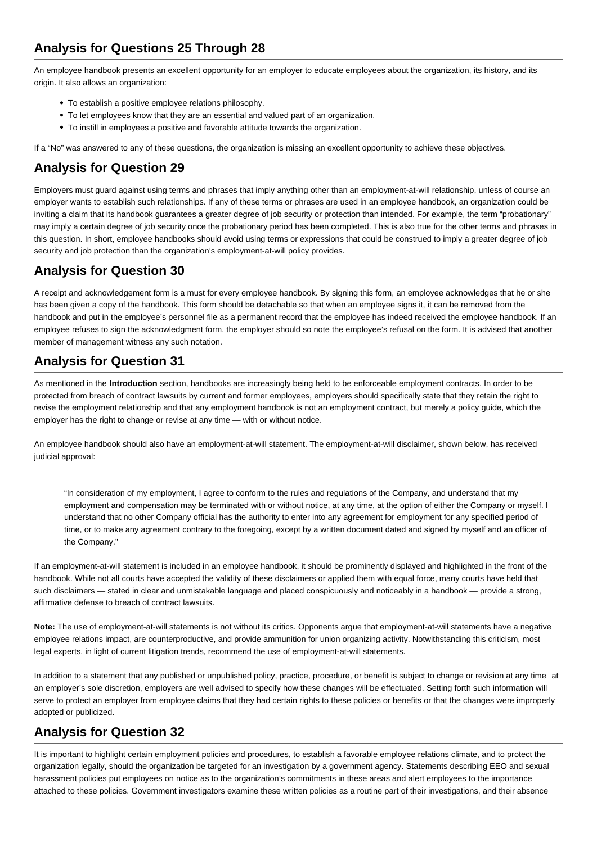An employee handbook presents an excellent opportunity for an employer to educate employees about the organization, its history, and its origin. It also allows an organization:

- To establish a positive employee relations philosophy.
- To let employees know that they are an essential and valued part of an organization.
- To instill in employees a positive and favorable attitude towards the organization.

If a "No" was answered to any of these questions, the organization is missing an excellent opportunity to achieve these objectives.

## **Analysis for Question 29**

Employers must guard against using terms and phrases that imply anything other than an employment-at-will relationship, unless of course an employer wants to establish such relationships. If any of these terms or phrases are used in an employee handbook, an organization could be inviting a claim that its handbook guarantees a greater degree of job security or protection than intended. For example, the term "probationary" may imply a certain degree of job security once the probationary period has been completed. This is also true for the other terms and phrases in this question. In short, employee handbooks should avoid using terms or expressions that could be construed to imply a greater degree of job security and job protection than the organization's employment-at-will policy provides.

## **Analysis for Question 30**

A receipt and acknowledgement form is a must for every employee handbook. By signing this form, an employee acknowledges that he or she has been given a copy of the handbook. This form should be detachable so that when an employee signs it, it can be removed from the handbook and put in the employee's personnel file as a permanent record that the employee has indeed received the employee handbook. If an employee refuses to sign the acknowledgment form, the employer should so note the employee's refusal on the form. It is advised that another member of management witness any such notation.

## **Analysis for Question 31**

As mentioned in the **Introduction** section, handbooks are increasingly being held to be enforceable employment contracts. In order to be protected from breach of contract lawsuits by current and former employees, employers should specifically state that they retain the right to revise the employment relationship and that any employment handbook is not an employment contract, but merely a policy guide, which the employer has the right to change or revise at any time — with or without notice.

An employee handbook should also have an employment-at-will statement. The employment-at-will disclaimer, shown below, has received judicial approval:

"In consideration of my employment, I agree to conform to the rules and regulations of the Company, and understand that my employment and compensation may be terminated with or without notice, at any time, at the option of either the Company or myself. I understand that no other Company official has the authority to enter into any agreement for employment for any specified period of time, or to make any agreement contrary to the foregoing, except by a written document dated and signed by myself and an officer of the Company."

If an employment-at-will statement is included in an employee handbook, it should be prominently displayed and highlighted in the front of the handbook. While not all courts have accepted the validity of these disclaimers or applied them with equal force, many courts have held that such disclaimers — stated in clear and unmistakable language and placed conspicuously and noticeably in a handbook — provide a strong, affirmative defense to breach of contract lawsuits.

**Note:** The use of employment-at-will statements is not without its critics. Opponents argue that employment-at-will statements have a negative employee relations impact, are counterproductive, and provide ammunition for union organizing activity. Notwithstanding this criticism, most legal experts, in light of current litigation trends, recommend the use of employment-at-will statements.

In addition to a statement that any published or unpublished policy, practice, procedure, or benefit is subject to change or revision at any time at an employer's sole discretion, employers are well advised to specify how these changes will be effectuated. Setting forth such information will serve to protect an employer from employee claims that they had certain rights to these policies or benefits or that the changes were improperly adopted or publicized.

## **Analysis for Question 32**

It is important to highlight certain employment policies and procedures, to establish a favorable employee relations climate, and to protect the organization legally, should the organization be targeted for an investigation by a government agency. Statements describing EEO and sexual harassment policies put employees on notice as to the organization's commitments in these areas and alert employees to the importance attached to these policies. Government investigators examine these written policies as a routine part of their investigations, and their absence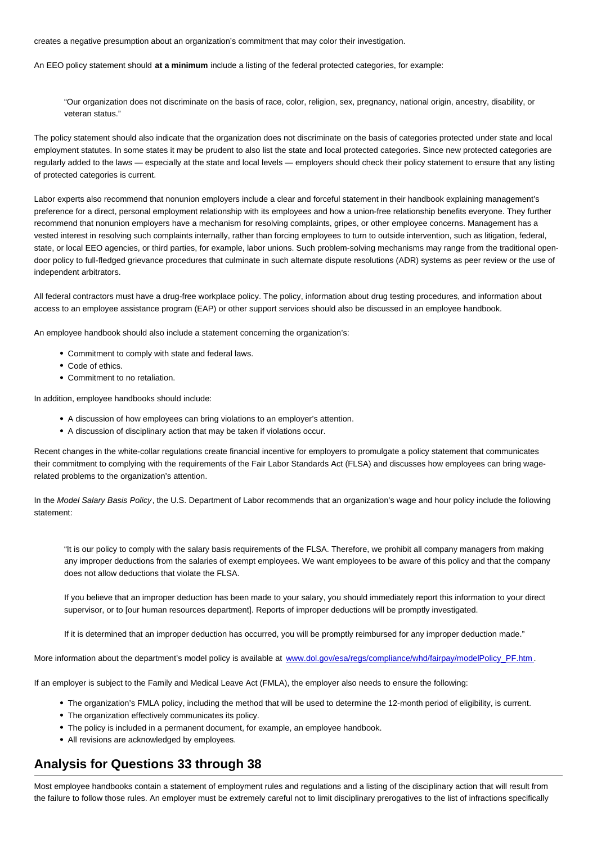creates a negative presumption about an organization's commitment that may color their investigation.

An EEO policy statement should **at a minimum** include a listing of the federal protected categories, for example:

"Our organization does not discriminate on the basis of race, color, religion, sex, pregnancy, national origin, ancestry, disability, or veteran status."

The policy statement should also indicate that the organization does not discriminate on the basis of categories protected under state and local employment statutes. In some states it may be prudent to also list the state and local protected categories. Since new protected categories are regularly added to the laws — especially at the state and local levels — employers should check their policy statement to ensure that any listing of protected categories is current.

Labor experts also recommend that nonunion employers include a clear and forceful statement in their handbook explaining management's preference for a direct, personal employment relationship with its employees and how a union-free relationship benefits everyone. They further recommend that nonunion employers have a mechanism for resolving complaints, gripes, or other employee concerns. Management has a vested interest in resolving such complaints internally, rather than forcing employees to turn to outside intervention, such as litigation, federal, state, or local EEO agencies, or third parties, for example, labor unions. Such problem-solving mechanisms may range from the traditional opendoor policy to full-fledged grievance procedures that culminate in such alternate dispute resolutions (ADR) systems as peer review or the use of independent arbitrators.

All federal contractors must have a drug-free workplace policy. The policy, information about drug testing procedures, and information about access to an employee assistance program (EAP) or other support services should also be discussed in an employee handbook.

An employee handbook should also include a statement concerning the organization's:

- Commitment to comply with state and federal laws.
- Code of ethics
- Commitment to no retaliation.

In addition, employee handbooks should include:

- A discussion of how employees can bring violations to an employer's attention.
- A discussion of disciplinary action that may be taken if violations occur.

Recent changes in the white-collar regulations create financial incentive for employers to promulgate a policy statement that communicates their commitment to complying with the requirements of the Fair Labor Standards Act (FLSA) and discusses how employees can bring wagerelated problems to the organization's attention.

In the Model Salary Basis Policy, the U.S. Department of Labor recommends that an organization's wage and hour policy include the following statement:

"It is our policy to comply with the salary basis requirements of the FLSA. Therefore, we prohibit all company managers from making any improper deductions from the salaries of exempt employees. We want employees to be aware of this policy and that the company does not allow deductions that violate the FLSA.

If you believe that an improper deduction has been made to your salary, you should immediately report this information to your direct supervisor, or to [our human resources department]. Reports of improper deductions will be promptly investigated.

If it is determined that an improper deduction has occurred, you will be promptly reimbursed for any improper deduction made."

More information about the department's model policy is available at [www.dol.gov/esa/regs/compliance/whd/fairpay/modelPolicy\\_PF.htm](http://www.dol.gov/esa/regs/compliance/whd/fairpay/modelPolicy_PF.htm) .

If an employer is subject to the Family and Medical Leave Act (FMLA), the employer also needs to ensure the following:

- The organization's FMLA policy, including the method that will be used to determine the 12-month period of eligibility, is current.
- The organization effectively communicates its policy.
- The policy is included in a permanent document, for example, an employee handbook.
- All revisions are acknowledged by employees.

### **Analysis for Questions 33 through 38**

Most employee handbooks contain a statement of employment rules and regulations and a listing of the disciplinary action that will result from the failure to follow those rules. An employer must be extremely careful not to limit disciplinary prerogatives to the list of infractions specifically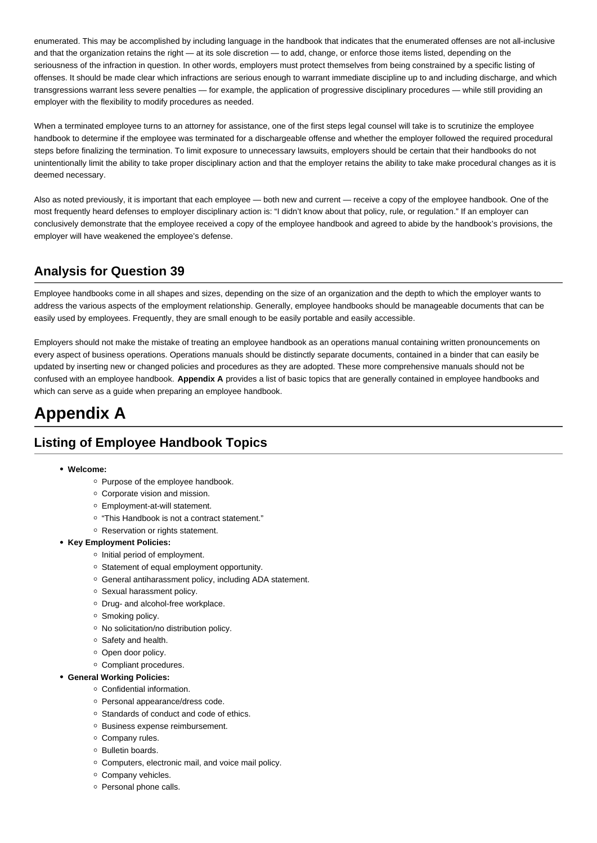enumerated. This may be accomplished by including language in the handbook that indicates that the enumerated offenses are not all-inclusive and that the organization retains the right — at its sole discretion — to add, change, or enforce those items listed, depending on the seriousness of the infraction in question. In other words, employers must protect themselves from being constrained by a specific listing of offenses. It should be made clear which infractions are serious enough to warrant immediate discipline up to and including discharge, and which transgressions warrant less severe penalties — for example, the application of progressive disciplinary procedures — while still providing an employer with the flexibility to modify procedures as needed.

When a terminated employee turns to an attorney for assistance, one of the first steps legal counsel will take is to scrutinize the employee handbook to determine if the employee was terminated for a dischargeable offense and whether the employer followed the required procedural steps before finalizing the termination. To limit exposure to unnecessary lawsuits, employers should be certain that their handbooks do not unintentionally limit the ability to take proper disciplinary action and that the employer retains the ability to take make procedural changes as it is deemed necessary.

Also as noted previously, it is important that each employee — both new and current — receive a copy of the employee handbook. One of the most frequently heard defenses to employer disciplinary action is: "I didn't know about that policy, rule, or regulation." If an employer can conclusively demonstrate that the employee received a copy of the employee handbook and agreed to abide by the handbook's provisions, the employer will have weakened the employee's defense.

## **Analysis for Question 39**

Employee handbooks come in all shapes and sizes, depending on the size of an organization and the depth to which the employer wants to address the various aspects of the employment relationship. Generally, employee handbooks should be manageable documents that can be easily used by employees. Frequently, they are small enough to be easily portable and easily accessible.

Employers should not make the mistake of treating an employee handbook as an operations manual containing written pronouncements on every aspect of business operations. Operations manuals should be distinctly separate documents, contained in a binder that can easily be updated by inserting new or changed policies and procedures as they are adopted. These more comprehensive manuals should not be confused with an employee handbook. **Appendix A** provides a list of basic topics that are generally contained in employee handbooks and which can serve as a guide when preparing an employee handbook.

# **Appendix A**

## **Listing of Employee Handbook Topics**

### **Welcome:**

- Purpose of the employee handbook.
- Corporate vision and mission.
- Employment-at-will statement.
- "This Handbook is not a contract statement."
- o Reservation or rights statement.
- **Key Employment Policies:**
	- o Initial period of employment.
	- Statement of equal employment opportunity.
	- General antiharassment policy, including ADA statement.
	- o Sexual harassment policy.
	- o Drug- and alcohol-free workplace.
	- o Smoking policy.
	- No solicitation/no distribution policy.
	- o Safety and health.
	- <sup>o</sup> Open door policy.
	- Compliant procedures.

### **General Working Policies:**

- Confidential information.
- o Personal appearance/dress code.
- o Standards of conduct and code of ethics.
- o Business expense reimbursement.
- o Company rules.
- o Bulletin boards.
- Computers, electronic mail, and voice mail policy.
- Company vehicles.
- o Personal phone calls.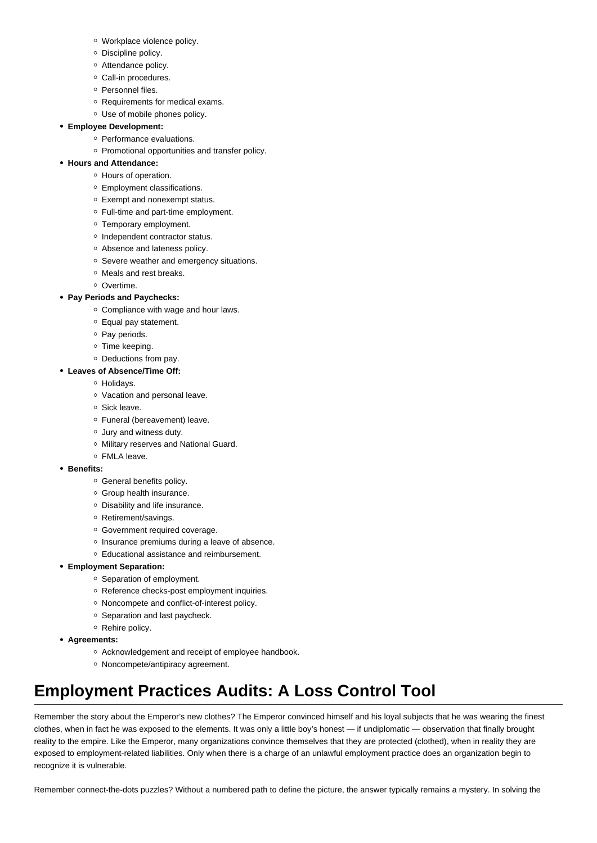- Workplace violence policy.
- o Discipline policy.
- o Attendance policy.
- o Call-in procedures.
- o Personnel files.
- Requirements for medical exams.
- Use of mobile phones policy.

### **Employee Development:**

- o Performance evaluations.
- Promotional opportunities and transfer policy.

### **Hours and Attendance:**

- Hours of operation.
- Employment classifications.
- Exempt and nonexempt status.
- Full-time and part-time employment.
- Temporary employment.
- o Independent contractor status.
- Absence and lateness policy.
- o Severe weather and emergency situations.
- o Meals and rest breaks.
- o Overtime.

### **Pay Periods and Paychecks:**

- o Compliance with wage and hour laws.
- Equal pay statement.
- $\circ$  Pay periods.
- o Time keeping.
- Deductions from pay.
- **Leaves of Absence/Time Off:**
	- o Holidavs.
	- Vacation and personal leave.
	- Sick leave.
	- Funeral (bereavement) leave.
	- Jury and witness duty.
	- o Military reserves and National Guard.
	- FMLA leave.
- **Benefits:**
	- General benefits policy.
	- o Group health insurance.
	- Disability and life insurance.
	- o Retirement/savings.
	- Government required coverage.
	- o Insurance premiums during a leave of absence.
	- Educational assistance and reimbursement.
- **Employment Separation:**
	- <sup>o</sup> Separation of employment.
	- Reference checks-post employment inquiries.
	- o Noncompete and conflict-of-interest policy.
	- o Separation and last paycheck.
	- o Rehire policy.
- **Agreements:**
	- o Acknowledgement and receipt of employee handbook.
	- Noncompete/antipiracy agreement.

# **Employment Practices Audits: A Loss Control Tool**

Remember the story about the Emperor's new clothes? The Emperor convinced himself and his loyal subjects that he was wearing the finest clothes, when in fact he was exposed to the elements. It was only a little boy's honest — if undiplomatic — observation that finally brought reality to the empire. Like the Emperor, many organizations convince themselves that they are protected (clothed), when in reality they are exposed to employment-related liabilities. Only when there is a charge of an unlawful employment practice does an organization begin to recognize it is vulnerable.

Remember connect-the-dots puzzles? Without a numbered path to define the picture, the answer typically remains a mystery. In solving the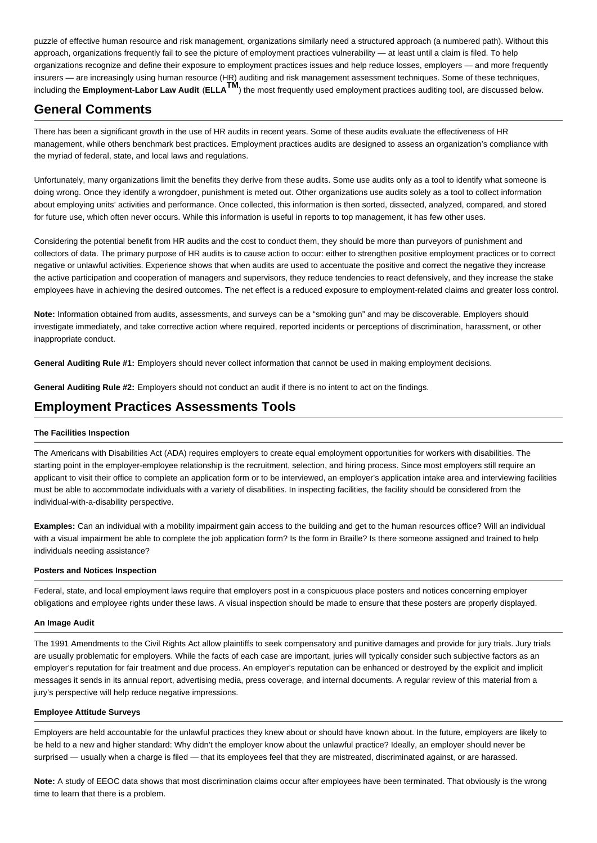puzzle of effective human resource and risk management, organizations similarly need a structured approach (a numbered path). Without this approach, organizations frequently fail to see the picture of employment practices vulnerability — at least until a claim is filed. To help organizations recognize and define their exposure to employment practices issues and help reduce losses, employers — and more frequently insurers — are increasingly using human resource (HR) auditing and risk management assessment techniques. Some of these techniques, including the **Employment-Labor Law Audit** (**ELLATM**) the most frequently used employment practices auditing tool, are discussed below.

### **General Comments**

There has been a significant growth in the use of HR audits in recent years. Some of these audits evaluate the effectiveness of HR management, while others benchmark best practices. Employment practices audits are designed to assess an organization's compliance with the myriad of federal, state, and local laws and regulations.

Unfortunately, many organizations limit the benefits they derive from these audits. Some use audits only as a tool to identify what someone is doing wrong. Once they identify a wrongdoer, punishment is meted out. Other organizations use audits solely as a tool to collect information about employing units' activities and performance. Once collected, this information is then sorted, dissected, analyzed, compared, and stored for future use, which often never occurs. While this information is useful in reports to top management, it has few other uses.

Considering the potential benefit from HR audits and the cost to conduct them, they should be more than purveyors of punishment and collectors of data. The primary purpose of HR audits is to cause action to occur: either to strengthen positive employment practices or to correct negative or unlawful activities. Experience shows that when audits are used to accentuate the positive and correct the negative they increase the active participation and cooperation of managers and supervisors, they reduce tendencies to react defensively, and they increase the stake employees have in achieving the desired outcomes. The net effect is a reduced exposure to employment-related claims and greater loss control.

**Note:** Information obtained from audits, assessments, and surveys can be a "smoking gun" and may be discoverable. Employers should investigate immediately, and take corrective action where required, reported incidents or perceptions of discrimination, harassment, or other inappropriate conduct.

**General Auditing Rule #1:** Employers should never collect information that cannot be used in making employment decisions.

**General Auditing Rule #2:** Employers should not conduct an audit if there is no intent to act on the findings.

## **Employment Practices Assessments Tools**

### **The Facilities Inspection**

The Americans with Disabilities Act (ADA) requires employers to create equal employment opportunities for workers with disabilities. The starting point in the employer-employee relationship is the recruitment, selection, and hiring process. Since most employers still require an applicant to visit their office to complete an application form or to be interviewed, an employer's application intake area and interviewing facilities must be able to accommodate individuals with a variety of disabilities. In inspecting facilities, the facility should be considered from the individual-with-a-disability perspective.

**Examples:** Can an individual with a mobility impairment gain access to the building and get to the human resources office? Will an individual with a visual impairment be able to complete the job application form? Is the form in Braille? Is there someone assigned and trained to help individuals needing assistance?

### **Posters and Notices Inspection**

Federal, state, and local employment laws require that employers post in a conspicuous place posters and notices concerning employer obligations and employee rights under these laws. A visual inspection should be made to ensure that these posters are properly displayed.

### **An Image Audit**

The 1991 Amendments to the Civil Rights Act allow plaintiffs to seek compensatory and punitive damages and provide for jury trials. Jury trials are usually problematic for employers. While the facts of each case are important, juries will typically consider such subjective factors as an employer's reputation for fair treatment and due process. An employer's reputation can be enhanced or destroyed by the explicit and implicit messages it sends in its annual report, advertising media, press coverage, and internal documents. A regular review of this material from a jury's perspective will help reduce negative impressions.

### **Employee Attitude Surveys**

Employers are held accountable for the unlawful practices they knew about or should have known about. In the future, employers are likely to be held to a new and higher standard: Why didn't the employer know about the unlawful practice? Ideally, an employer should never be surprised — usually when a charge is filed — that its employees feel that they are mistreated, discriminated against, or are harassed.

**Note:** A study of EEOC data shows that most discrimination claims occur after employees have been terminated. That obviously is the wrong time to learn that there is a problem.